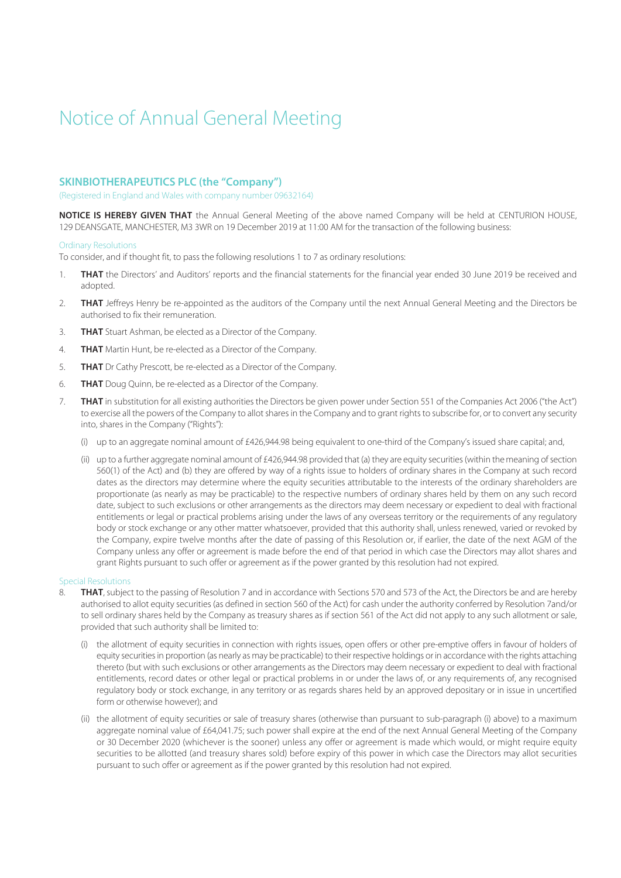# Notice of Annual General Meeting

## **SKINBIOTHERAPEUTICS PLC (the "Company")**

(Registered in England and Wales with company number 09632164)

**NOTICE IS HEREBY GIVEN THAT** the Annual General Meeting of the above named Company will be held at CENTURION HOUSE, 129 DEANSGATE, MANCHESTER, M3 3WR on 19 December 2019 at 11:00 AM for the transaction of the following business:

#### Ordinary Resolutions

To consider, and if thought fit, to pass the following resolutions 1 to 7 as ordinary resolutions:

- 1. **THAT** the Directors' and Auditors' reports and the financial statements for the financial year ended 30 June 2019 be received and adopted.
- 2. **THAT** Jeffreys Henry be re-appointed as the auditors of the Company until the next Annual General Meeting and the Directors be authorised to fix their remuneration.
- 3. **THAT** Stuart Ashman, be elected as a Director of the Company.
- 4. **THAT** Martin Hunt, be re-elected as a Director of the Company.
- 5. **THAT** Dr Cathy Prescott, be re-elected as a Director of the Company.
- 6. **THAT** Doug Quinn, be re-elected as a Director of the Company.
- 7. **THAT** in substitution for all existing authorities the Directors be given power under Section 551 of the Companies Act 2006 ("the Act") to exercise all the powers of the Company to allot shares in the Company and to grant rights to subscribe for, or to convert any security into, shares in the Company ("Rights"):
	- (i) up to an aggregate nominal amount of  $£426,944.98$  being equivalent to one-third of the Company's issued share capital; and,
	- (ii) up to a further aggregate nominal amount of £426,944.98 provided that (a) they are equity securities (within the meaning of section 560(1) of the Act) and (b) they are offered by way of a rights issue to holders of ordinary shares in the Company at such record dates as the directors may determine where the equity securities attributable to the interests of the ordinary shareholders are proportionate (as nearly as may be practicable) to the respective numbers of ordinary shares held by them on any such record date, subject to such exclusions or other arrangements as the directors may deem necessary or expedient to deal with fractional entitlements or legal or practical problems arising under the laws of any overseas territory or the requirements of any regulatory body or stock exchange or any other matter whatsoever, provided that this authority shall, unless renewed, varied or revoked by the Company, expire twelve months after the date of passing of this Resolution or, if earlier, the date of the next AGM of the Company unless any offer or agreement is made before the end of that period in which case the Directors may allot shares and grant Rights pursuant to such offer or agreement as if the power granted by this resolution had not expired.

## Special Resolutions

- 8. **THAT**, subject to the passing of Resolution 7 and in accordance with Sections 570 and 573 of the Act, the Directors be and are hereby authorised to allot equity securities (as defined in section 560 of the Act) for cash under the authority conferred by Resolution 7and/or to sell ordinary shares held by the Company as treasury shares as if section 561 of the Act did not apply to any such allotment or sale, provided that such authority shall be limited to:
	- (i) the allotment of equity securities in connection with rights issues, open offers or other pre-emptive offers in favour of holders of equity securities in proportion (as nearly as may be practicable) to their respective holdings or in accordance with the rights attaching thereto (but with such exclusions or other arrangements as the Directors may deem necessary or expedient to deal with fractional entitlements, record dates or other legal or practical problems in or under the laws of, or any requirements of, any recognised regulatory body or stock exchange, in any territory or as regards shares held by an approved depositary or in issue in uncertified form or otherwise however); and
	- (ii) the allotment of equity securities or sale of treasury shares (otherwise than pursuant to sub-paragraph (i) above) to a maximum aggregate nominal value of £64,041.75; such power shall expire at the end of the next Annual General Meeting of the Company or 30 December 2020 (whichever is the sooner) unless any offer or agreement is made which would, or might require equity securities to be allotted (and treasury shares sold) before expiry of this power in which case the Directors may allot securities pursuant to such offer or agreement as if the power granted by this resolution had not expired.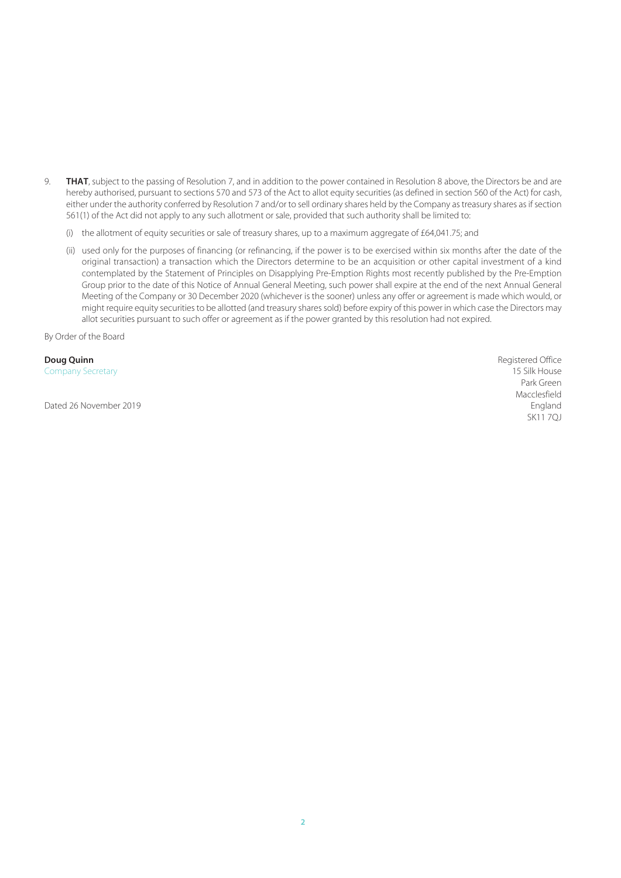- 9. **THAT**, subject to the passing of Resolution 7, and in addition to the power contained in Resolution 8 above, the Directors be and are hereby authorised, pursuant to sections 570 and 573 of the Act to allot equity securities (as defined in section 560 of the Act) for cash, either under the authority conferred by Resolution 7 and/or to sell ordinary shares held by the Company as treasury shares as if section 561(1) of the Act did not apply to any such allotment or sale, provided that such authority shall be limited to:
	- (i) the allotment of equity securities or sale of treasury shares, up to a maximum aggregate of £64,041.75; and
	- (ii) used only for the purposes of financing (or refinancing, if the power is to be exercised within six months after the date of the original transaction) a transaction which the Directors determine to be an acquisition or other capital investment of a kind contemplated by the Statement of Principles on Disapplying Pre-Emption Rights most recently published by the Pre-Emption Group prior to the date of this Notice of Annual General Meeting, such power shall expire at the end of the next Annual General Meeting of the Company or 30 December 2020 (whichever is the sooner) unless any offer or agreement is made which would, or might require equity securities to be allotted (and treasury shares sold) before expiry of this power in which case the Directors may allot securities pursuant to such offer or agreement as if the power granted by this resolution had not expired.

By Order of the Board

**Doug Quinn** Reqistered Office **Doug Quinn** Company Secretary 15 Silk House

Park Green and the state of the state of the state of the state of the state of the state of the state of the state of the state of the state of the state of the state of the state of the state of the state of the state of Macclesfield **Macclesfield** Dated 26 November 2019<br>
England
SK11 7QJ SK11 7QJ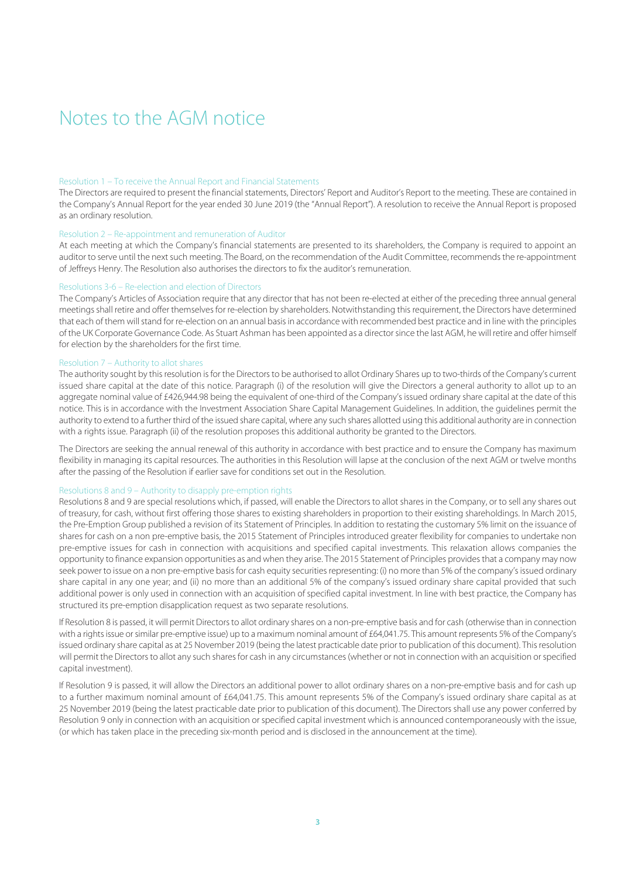## Notes to the AGM notice

#### Resolution 1 – To receive the Annual Report and Financial Statements

The Directors are required to present the financial statements, Directors' Report and Auditor's Report to the meeting. These are contained in the Company's Annual Report for the year ended 30 June 2019 (the "Annual Report"). A resolution to receive the Annual Report is proposed as an ordinary resolution.

## Resolution 2 – Re-appointment and remuneration of Auditor

At each meeting at which the Company's financial statements are presented to its shareholders, the Company is required to appoint an auditor to serve until the next such meeting. The Board, on the recommendation of the Audit Committee, recommends the re-appointment of Jeffreys Henry. The Resolution also authorises the directors to fix the auditor's remuneration.

## Resolutions 3-6 – Re-election and election of Directors

The Company's Articles of Association require that any director that has not been re-elected at either of the preceding three annual general meetings shall retire and offer themselves for re-election by shareholders. Notwithstanding this requirement, the Directors have determined that each of them will stand for re-election on an annual basis in accordance with recommended best practice and in line with the principles of the UK Corporate Governance Code. As Stuart Ashman has been appointed as a director since the last AGM, he will retire and offer himself for election by the shareholders for the first time.

### Resolution 7 – Authority to allot shares

The authority sought by this resolution is for the Directors to be authorised to allot Ordinary Shares up to two-thirds of the Company's current issued share capital at the date of this notice. Paragraph (i) of the resolution will give the Directors a general authority to allot up to an aggregate nominal value of £426,944.98 being the equivalent of one-third of the Company's issued ordinary share capital at the date of this notice. This is in accordance with the Investment Association Share Capital Management Guidelines. In addition, the guidelines permit the authority to extend to a further third of the issued share capital, where any such shares allotted using this additional authority are in connection with a rights issue. Paragraph (ii) of the resolution proposes this additional authority be granted to the Directors.

The Directors are seeking the annual renewal of this authority in accordance with best practice and to ensure the Company has maximum flexibility in managing its capital resources. The authorities in this Resolution will lapse at the conclusion of the next AGM or twelve months after the passing of the Resolution if earlier save for conditions set out in the Resolution.

#### Resolutions 8 and 9 – Authority to disapply pre-emption rights

Resolutions 8 and 9 are special resolutions which, if passed, will enable the Directors to allot shares in the Company, or to sell any shares out of treasury, for cash, without first offering those shares to existing shareholders in proportion to their existing shareholdings. In March 2015, the Pre-Emption Group published a revision of its Statement of Principles. In addition to restating the customary 5% limit on the issuance of shares for cash on a non pre-emptive basis, the 2015 Statement of Principles introduced greater flexibility for companies to undertake non pre-emptive issues for cash in connection with acquisitions and specified capital investments. This relaxation allows companies the opportunity to finance expansion opportunities as and when they arise. The 2015 Statement of Principles provides that a company may now seek power to issue on a non pre-emptive basis for cash equity securities representing: (i) no more than 5% of the company's issued ordinary share capital in any one year; and (ii) no more than an additional 5% of the company's issued ordinary share capital provided that such additional power is only used in connection with an acquisition of specified capital investment. In line with best practice, the Company has structured its pre-emption disapplication request as two separate resolutions.

If Resolution 8 is passed, it will permit Directors to allot ordinary shares on a non-pre-emptive basis and for cash (otherwise than in connection with a rights issue or similar pre-emptive issue) up to a maximum nominal amount of £64,041.75. This amount represents 5% of the Company's issued ordinary share capital as at 25 November 2019 (being the latest practicable date prior to publication of this document). This resolution will permit the Directors to allot any such shares for cash in any circumstances (whether or not in connection with an acquisition or specified capital investment).

If Resolution 9 is passed, it will allow the Directors an additional power to allot ordinary shares on a non-pre-emptive basis and for cash up to a further maximum nominal amount of £64,041.75. This amount represents 5% of the Company's issued ordinary share capital as at 25 November 2019 (being the latest practicable date prior to publication of this document). The Directors shall use any power conferred by Resolution 9 only in connection with an acquisition or specified capital investment which is announced contemporaneously with the issue, (or which has taken place in the preceding six-month period and is disclosed in the announcement at the time).